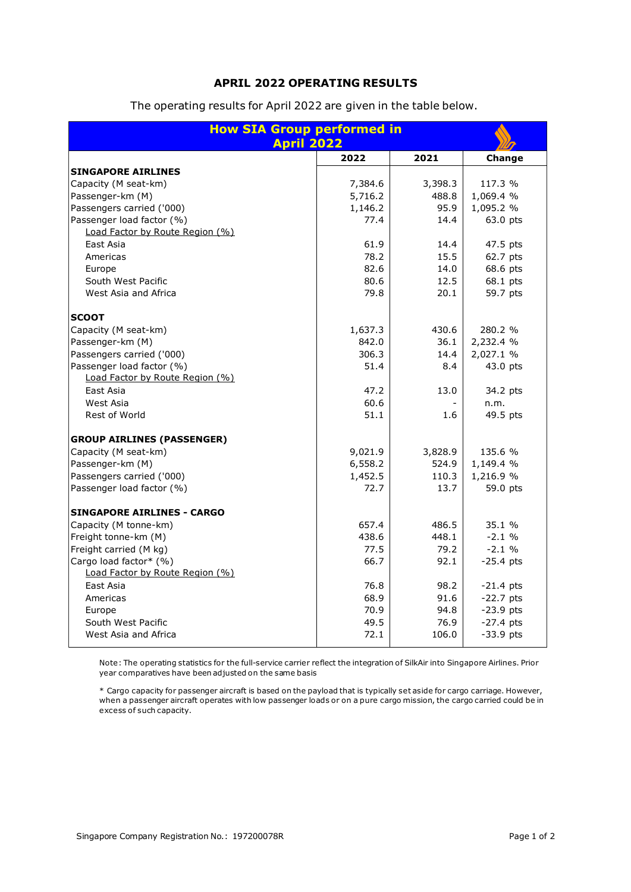## **APRIL 2022 OPERATING RESULTS**

| <b>How SIA Group performed in</b><br><b>April 2022</b> |         |         |             |
|--------------------------------------------------------|---------|---------|-------------|
|                                                        | 2022    | 2021    | Change      |
| <b>SINGAPORE AIRLINES</b>                              |         |         |             |
| Capacity (M seat-km)                                   | 7,384.6 | 3,398.3 | 117.3 %     |
| Passenger-km (M)                                       | 5,716.2 | 488.8   | 1,069.4 %   |
| Passengers carried ('000)                              | 1,146.2 | 95.9    | 1,095.2 %   |
| Passenger load factor (%)                              | 77.4    | 14.4    | 63.0 pts    |
| Load Factor by Route Region (%)                        |         |         |             |
| East Asia                                              | 61.9    | 14.4    | 47.5 pts    |
| Americas                                               | 78.2    | 15.5    | 62.7 pts    |
| Europe                                                 | 82.6    | 14.0    | 68.6 pts    |
| South West Pacific                                     | 80.6    | 12.5    | 68.1 pts    |
| West Asia and Africa                                   | 79.8    | 20.1    | 59.7 pts    |
|                                                        |         |         |             |
| <b>SCOOT</b>                                           |         |         |             |
| Capacity (M seat-km)                                   | 1,637.3 | 430.6   | 280.2 %     |
| Passenger-km (M)                                       | 842.0   | 36.1    | 2,232.4 %   |
| Passengers carried ('000)                              | 306.3   | 14.4    | 2,027.1 %   |
| Passenger load factor (%)                              | 51.4    | 8.4     | 43.0 pts    |
| Load Factor by Route Region (%)                        |         |         |             |
| East Asia                                              | 47.2    | 13.0    | 34.2 pts    |
| West Asia                                              | 60.6    |         | n.m.        |
| Rest of World                                          | 51.1    | 1.6     | 49.5 pts    |
| <b>GROUP AIRLINES (PASSENGER)</b>                      |         |         |             |
| Capacity (M seat-km)                                   | 9,021.9 | 3,828.9 | 135.6 %     |
| Passenger-km (M)                                       | 6,558.2 | 524.9   | 1,149.4 %   |
| Passengers carried ('000)                              | 1,452.5 | 110.3   | 1,216.9 %   |
| Passenger load factor (%)                              | 72.7    | 13.7    | 59.0 pts    |
| <b>SINGAPORE AIRLINES - CARGO</b>                      |         |         |             |
| Capacity (M tonne-km)                                  | 657.4   | 486.5   | 35.1 %      |
| Freight tonne-km (M)                                   | 438.6   | 448.1   | $-2.1%$     |
| Freight carried (M kg)                                 | 77.5    | 79.2    | $-2.1%$     |
| Cargo load factor* (%)                                 | 66.7    | 92.1    | $-25.4$ pts |
| Load Factor by Route Region (%)                        |         |         |             |
| East Asia                                              | 76.8    | 98.2    | $-21.4$ pts |
| Americas                                               | 68.9    | 91.6    | $-22.7$ pts |
| Europe                                                 | 70.9    | 94.8    | $-23.9$ pts |
| South West Pacific                                     | 49.5    | 76.9    | $-27.4$ pts |
| West Asia and Africa                                   | 72.1    | 106.0   | $-33.9$ pts |

The operating results for April 2022 are given in the table below.

Note: The operating statistics for the full-service carrier reflect the integration of SilkAir into Singapore Airlines. Prior year comparatives have been adjusted on the same basis

\* Cargo capacity for passenger aircraft is based on the payload that is typically set aside for cargo carriage. However, when a passenger aircraft operates with low passenger loads or on a pure cargo mission, the cargo carried could be in excess of such capacity.